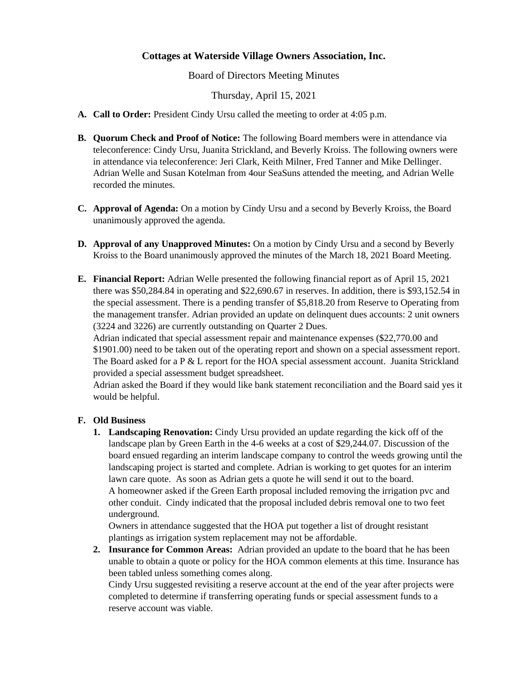## **Cottages at Waterside Village Owners Association, Inc.**

Board of Directors Meeting Minutes

Thursday, April 15, 2021

- **A. Call to Order:** President Cindy Ursu called the meeting to order at 4:05 p.m.
- **B. Quorum Check and Proof of Notice:** The following Board members were in attendance via teleconference: Cindy Ursu, Juanita Strickland, and Beverly Kroiss. The following owners were in attendance via teleconference: Jeri Clark, Keith Milner, Fred Tanner and Mike Dellinger. Adrian Welle and Susan Kotelman from 4our SeaSuns attended the meeting, and Adrian Welle recorded the minutes.
- **C. Approval of Agenda:** On a motion by Cindy Ursu and a second by Beverly Kroiss, the Board unanimously approved the agenda.
- **D. Approval of any Unapproved Minutes:** On a motion by Cindy Ursu and a second by Beverly Kroiss to the Board unanimously approved the minutes of the March 18, 2021 Board Meeting.
- **E. Financial Report:** Adrian Welle presented the following financial report as of April 15, 2021 there was \$50,284.84 in operating and \$22,690.67 in reserves. In addition, there is \$93,152.54 in the special assessment. There is a pending transfer of \$5,818.20 from Reserve to Operating from the management transfer. Adrian provided an update on delinquent dues accounts: 2 unit owners (3224 and 3226) are currently outstanding on Quarter 2 Dues.

Adrian indicated that special assessment repair and maintenance expenses (\$22,770.00 and \$1901.00) need to be taken out of the operating report and shown on a special assessment report. The Board asked for a  $P \& L$  report for the HOA special assessment account. Juanita Strickland provided a special assessment budget spreadsheet.

Adrian asked the Board if they would like bank statement reconciliation and the Board said yes it would be helpful.

## **F. Old Business**

**1. Landscaping Renovation:** Cindy Ursu provided an update regarding the kick off of the landscape plan by Green Earth in the 4-6 weeks at a cost of \$29,244.07. Discussion of the board ensued regarding an interim landscape company to control the weeds growing until the landscaping project is started and complete. Adrian is working to get quotes for an interim lawn care quote. As soon as Adrian gets a quote he will send it out to the board. A homeowner asked if the Green Earth proposal included removing the irrigation pvc and other conduit. Cindy indicated that the proposal included debris removal one to two feet underground.

Owners in attendance suggested that the HOA put together a list of drought resistant plantings as irrigation system replacement may not be affordable.

**2. Insurance for Common Areas:** Adrian provided an update to the board that he has been unable to obtain a quote or policy for the HOA common elements at this time. Insurance has been tabled unless something comes along.

Cindy Ursu suggested revisiting a reserve account at the end of the year after projects were completed to determine if transferring operating funds or special assessment funds to a reserve account was viable.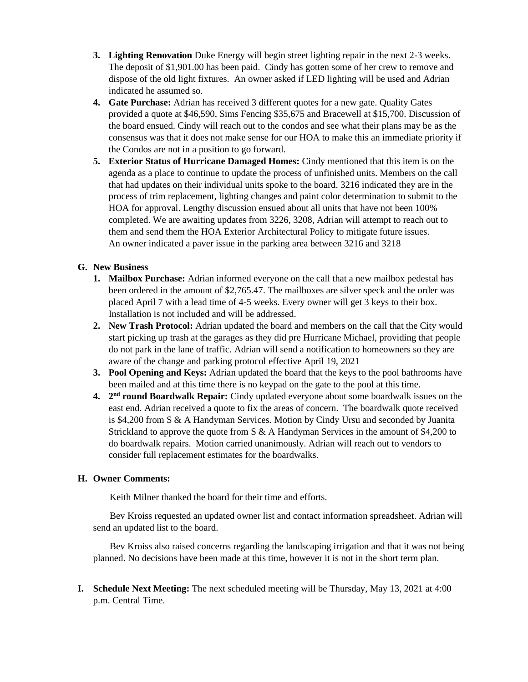- **3. Lighting Renovation** Duke Energy will begin street lighting repair in the next 2-3 weeks. The deposit of \$1,901.00 has been paid. Cindy has gotten some of her crew to remove and dispose of the old light fixtures. An owner asked if LED lighting will be used and Adrian indicated he assumed so.
- **4. Gate Purchase:** Adrian has received 3 different quotes for a new gate. Quality Gates provided a quote at \$46,590, Sims Fencing \$35,675 and Bracewell at \$15,700. Discussion of the board ensued. Cindy will reach out to the condos and see what their plans may be as the consensus was that it does not make sense for our HOA to make this an immediate priority if the Condos are not in a position to go forward.
- **5. Exterior Status of Hurricane Damaged Homes:** Cindy mentioned that this item is on the agenda as a place to continue to update the process of unfinished units. Members on the call that had updates on their individual units spoke to the board. 3216 indicated they are in the process of trim replacement, lighting changes and paint color determination to submit to the HOA for approval. Lengthy discussion ensued about all units that have not been 100% completed. We are awaiting updates from 3226, 3208, Adrian will attempt to reach out to them and send them the HOA Exterior Architectural Policy to mitigate future issues. An owner indicated a paver issue in the parking area between 3216 and 3218

## **G. New Business**

- **1. Mailbox Purchase:** Adrian informed everyone on the call that a new mailbox pedestal has been ordered in the amount of \$2,765.47. The mailboxes are silver speck and the order was placed April 7 with a lead time of 4-5 weeks. Every owner will get 3 keys to their box. Installation is not included and will be addressed.
- **2. New Trash Protocol:** Adrian updated the board and members on the call that the City would start picking up trash at the garages as they did pre Hurricane Michael, providing that people do not park in the lane of traffic. Adrian will send a notification to homeowners so they are aware of the change and parking protocol effective April 19, 2021
- **3. Pool Opening and Keys:** Adrian updated the board that the keys to the pool bathrooms have been mailed and at this time there is no keypad on the gate to the pool at this time.
- 4. 2<sup>nd</sup> **round Boardwalk Repair:** Cindy updated everyone about some boardwalk issues on the east end. Adrian received a quote to fix the areas of concern. The boardwalk quote received is \$4,200 from S & A Handyman Services. Motion by Cindy Ursu and seconded by Juanita Strickland to approve the quote from S  $\&$  A Handyman Services in the amount of \$4,200 to do boardwalk repairs. Motion carried unanimously. Adrian will reach out to vendors to consider full replacement estimates for the boardwalks.

## **H. Owner Comments:**

Keith Milner thanked the board for their time and efforts.

 Bev Kroiss requested an updated owner list and contact information spreadsheet. Adrian will send an updated list to the board.

 Bev Kroiss also raised concerns regarding the landscaping irrigation and that it was not being planned. No decisions have been made at this time, however it is not in the short term plan.

**I. Schedule Next Meeting:** The next scheduled meeting will be Thursday, May 13, 2021 at 4:00 p.m. Central Time.